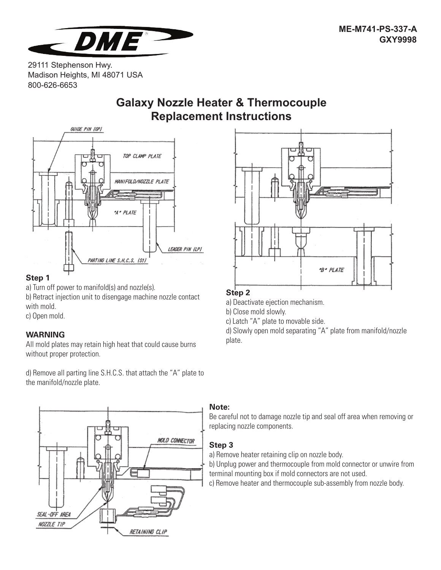

29111 Stephenson Hwy. Madison Heights, MI 48071 USA 800-626-6653

# **Galaxy Nozzle Heater & Thermocouple Replacement Instructions**



# **Step 1**

a) Turn off power to manifold(s) and nozzle(s).

b) Retract injection unit to disengage machine nozzle contact with mold.

c) Open mold.

# **WARNING**

All mold plates may retain high heat that could cause burns without proper protection.

d) Remove all parting line S.H.C.S. that attach the "A" plate to the manifold/nozzle plate.





# **Step 2**

a) Deactivate ejection mechanism.

b) Close mold slowly.

c) Latch "A" plate to movable side.

d) Slowly open mold separating "A" plate from manifold/nozzle plate.

#### **Note:**

Be careful not to damage nozzle tip and seal off area when removing or replacing nozzle components.

# **Step 3**

a) Remove heater retaining clip on nozzle body.

b) Unplug power and thermocouple from mold connector or unwire from terminal mounting box if mold connectors are not used.

c) Remove heater and thermocouple sub-assembly from nozzle body.